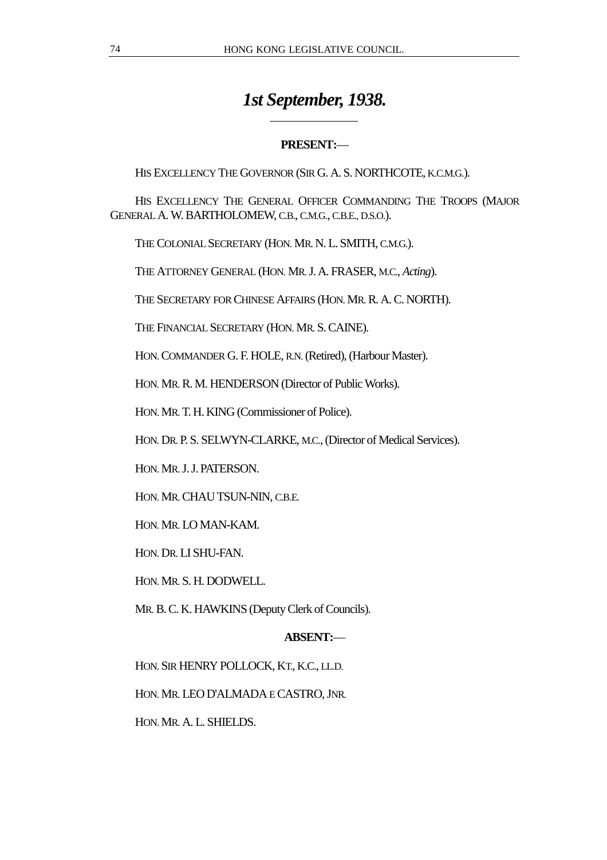# *1st September, 1938.*

# **PRESENT:**—

HIS EXCELLENCY THE GOVERNOR (SIR G. A. S. NORTHCOTE, K.C.M.G.).

HIS EXCELLENCY THE GENERAL OFFICER COMMANDING THE TROOPS (MAJOR GENERAL A. W. BARTHOLOMEW, C.B., C.M.G., C.B.E., D.S.O.).

THE COLONIAL SECRETARY (HON. MR. N. L. SMITH, C.M.G.).

 $\overline{a}$ 

THE ATTORNEY GENERAL (HON. MR. J. A. FRASER, M.C., *Acting*).

THE SECRETARY FOR CHINESE AFFAIRS (HON. MR. R. A. C. NORTH).

THE FINANCIAL SECRETARY (HON. MR. S. CAINE).

HON. COMMANDER G. F. HOLE, R.N. (Retired), (Harbour Master).

HON. MR. R. M. HENDERSON (Director of Public Works).

HON. MR. T. H. KING (Commissioner of Police).

HON. DR. P. S. SELWYN-CLARKE, M.C., (Director of Medical Services).

HON. MR. J. J. PATERSON.

HON. MR. CHAU TSUN-NIN, C.B.E.

HON. MR. LO MAN-KAM.

HON. DR. LI SHU-FAN.

HON. MR. S. H. DODWELL.

MR. B. C. K. HAWKINS (Deputy Clerk of Councils).

# **ABSENT:**—

HON. SIR HENRY POLLOCK, KT., K.C., LL.D.

HON. MR. LEO D'ALMADA E CASTRO, JNR.

HON. MR. A. L. SHIELDS.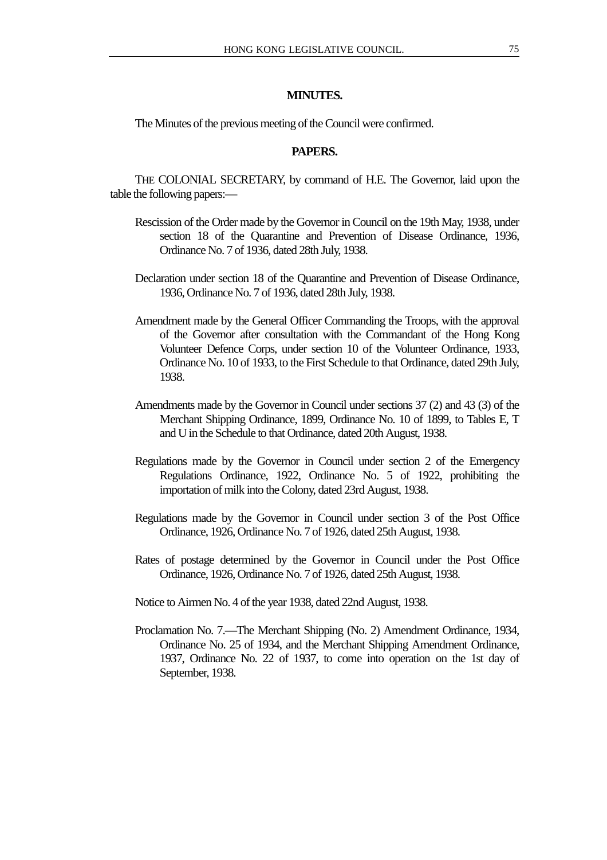# **MINUTES.**

The Minutes of the previous meeting of the Council were confirmed.

# **PAPERS.**

THE COLONIAL SECRETARY, by command of H.E. The Governor, laid upon the table the following papers:—

- Rescission of the Order made by the Governor in Council on the 19th May, 1938, under section 18 of the Quarantine and Prevention of Disease Ordinance, 1936, Ordinance No. 7 of 1936, dated 28th July, 1938.
- Declaration under section 18 of the Quarantine and Prevention of Disease Ordinance, 1936, Ordinance No. 7 of 1936, dated 28th July, 1938.
- Amendment made by the General Officer Commanding the Troops, with the approval of the Governor after consultation with the Commandant of the Hong Kong Volunteer Defence Corps, under section 10 of the Volunteer Ordinance, 1933, Ordinance No. 10 of 1933, to the First Schedule to that Ordinance, dated 29th July, 1938.
- Amendments made by the Governor in Council under sections 37 (2) and 43 (3) of the Merchant Shipping Ordinance, 1899, Ordinance No. 10 of 1899, to Tables E, T and U in the Schedule to that Ordinance, dated 20th August, 1938.
- Regulations made by the Governor in Council under section 2 of the Emergency Regulations Ordinance, 1922, Ordinance No. 5 of 1922, prohibiting the importation of milk into the Colony, dated 23rd August, 1938.
- Regulations made by the Governor in Council under section 3 of the Post Office Ordinance, 1926, Ordinance No. 7 of 1926, dated 25th August, 1938.
- Rates of postage determined by the Governor in Council under the Post Office Ordinance, 1926, Ordinance No. 7 of 1926, dated 25th August, 1938.

Notice to Airmen No. 4 of the year 1938, dated 22nd August, 1938.

Proclamation No. 7.—The Merchant Shipping (No. 2) Amendment Ordinance, 1934, Ordinance No. 25 of 1934, and the Merchant Shipping Amendment Ordinance, 1937, Ordinance No. 22 of 1937, to come into operation on the 1st day of September, 1938.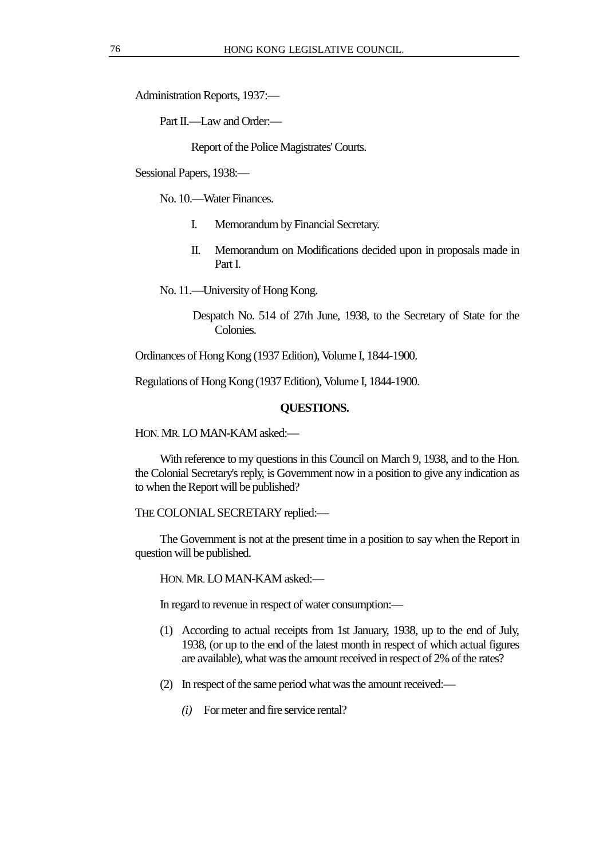Administration Reports, 1937:—

Part II.—I aw and Order:—

Report of the Police Magistrates' Courts.

Sessional Papers, 1938:—

No. 10.—Water Finances.

- I. Memorandum by Financial Secretary.
- II. Memorandum on Modifications decided upon in proposals made in Part I.

No. 11.—University of Hong Kong.

Despatch No. 514 of 27th June, 1938, to the Secretary of State for the Colonies.

Ordinances of Hong Kong (1937 Edition), Volume I, 1844-1900.

Regulations of Hong Kong (1937 Edition), Volume I, 1844-1900.

# **QUESTIONS.**

HON. MR. LO MAN-KAM asked:—

With reference to my questions in this Council on March 9, 1938, and to the Hon. the Colonial Secretary's reply, is Government now in a position to give any indication as to when the Report will be published?

THE COLONIAL SECRETARY replied:—

The Government is not at the present time in a position to say when the Report in question will be published.

HON. MR. LO MAN-KAM asked:—

In regard to revenue in respect of water consumption:—

- (1) According to actual receipts from 1st January, 1938, up to the end of July, 1938, (or up to the end of the latest month in respect of which actual figures are available), what was the amount received in respect of 2% of the rates?
- (2) In respect of the same period what was the amount received:—
	- *(i)* For meter and fire service rental?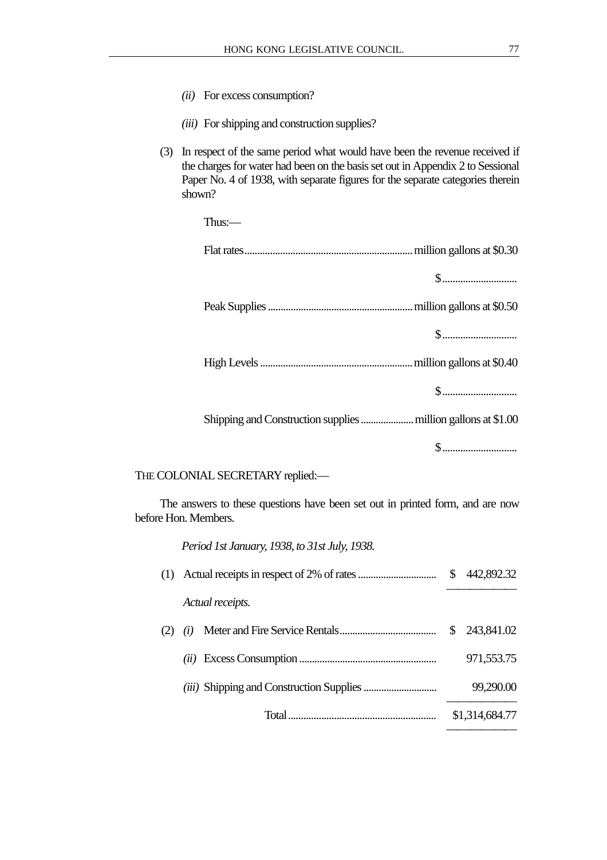- *(ii)* For excess consumption?
- *(iii)* For shipping and construction supplies?
- (3) In respect of the same period what would have been the revenue received if the charges for water had been on the basis set out in Appendix 2 to Sessional Paper No. 4 of 1938, with separate figures for the separate categories therein shown?

| Thus: $-$ |
|-----------|
|           |
|           |
|           |
|           |
|           |
|           |
|           |
| $\$\,$    |
|           |

THE COLONIAL SECRETARY replied:—

The answers to these questions have been set out in printed form, and are now before Hon. Members.

*Period 1st January, 1938, to 31st July, 1938.*

| (1) Actual receipts in respect of 2% of rates | 442,892.32     |
|-----------------------------------------------|----------------|
| Actual receipts.                              |                |
| (i)                                           | 243,841.02     |
| (ii)                                          | 971,553.75     |
|                                               | 99,290.00      |
|                                               | \$1,314,684.77 |
|                                               |                |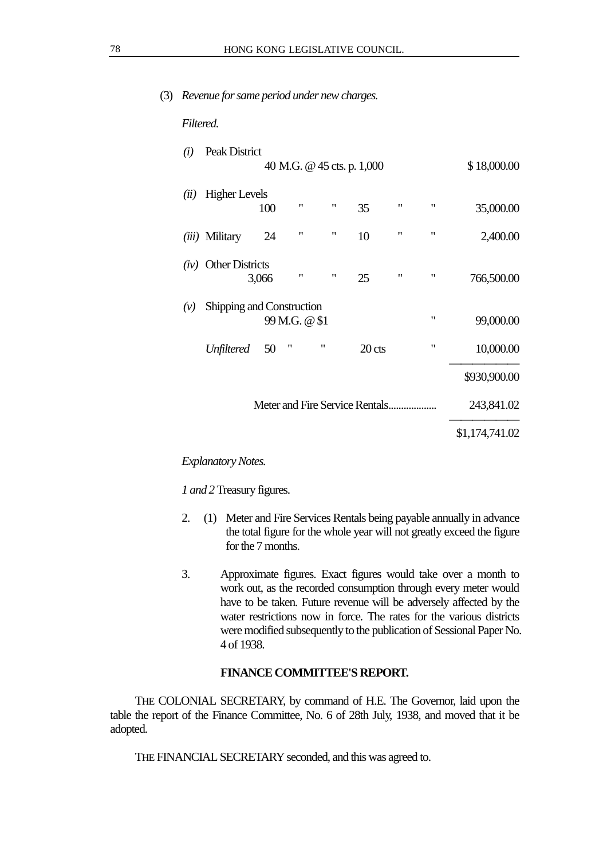# (3) *Revenue for same period under new charges.*

# *Filtered.*

| (i)  | Peak District                       |       |                    |                    |        |                    |                    |                |
|------|-------------------------------------|-------|--------------------|--------------------|--------|--------------------|--------------------|----------------|
|      | 40 M.G. @ 45 cts. p. 1,000          |       |                    |                    |        |                    |                    | \$18,000.00    |
| (ii) | <b>Higher Levels</b>                |       |                    |                    |        |                    |                    |                |
|      |                                     | 100   | 11                 | $\pmb{\mathsf{H}}$ | 35     | $\pmb{\mathsf{H}}$ | $\pmb{\mathsf{H}}$ | 35,000.00      |
|      | (iii) Military                      | 24    | $\pmb{\mathsf{H}}$ | $\pmb{\mathsf{H}}$ | 10     | $\pmb{\mathsf{H}}$ | $\pmb{\mathsf{H}}$ | 2,400.00       |
|      | $(iv)$ Other Districts              |       |                    |                    |        |                    |                    |                |
|      |                                     | 3,066 | $^{\prime}$        | $\pmb{\mathsf{H}}$ | 25     | $\pmb{\mathsf{H}}$ | $\pmb{\mathsf{H}}$ | 766,500.00     |
| (v)  | Shipping and Construction           |       |                    |                    |        |                    |                    |                |
|      | $\pmb{\mathsf{H}}$<br>99 M.G. @ \$1 |       |                    |                    |        |                    | 99,000.00          |                |
|      | <b>Unfiltered</b>                   | 50    | "                  | $^{\prime\prime}$  | 20 cts |                    | 11                 | 10,000.00      |
|      |                                     |       |                    |                    |        |                    |                    | \$930,900.00   |
|      |                                     |       |                    |                    |        |                    | 243,841.02         |                |
|      |                                     |       |                    |                    |        |                    |                    | \$1,174,741.02 |

# *Explanatory Notes.*

*1 and 2* Treasury figures.

- 2. (1) Meter and Fire Services Rentals being payable annually in advance the total figure for the whole year will not greatly exceed the figure for the 7 months.
- 3. Approximate figures. Exact figures would take over a month to work out, as the recorded consumption through every meter would have to be taken. Future revenue will be adversely affected by the water restrictions now in force. The rates for the various districts were modified subsequently to the publication of Sessional Paper No. 4 of 1938.

# **FINANCE COMMITTEE'S REPORT.**

THE COLONIAL SECRETARY, by command of H.E. The Governor, laid upon the table the report of the Finance Committee, No. 6 of 28th July, 1938, and moved that it be adopted.

THE FINANCIAL SECRETARY seconded, and this was agreed to.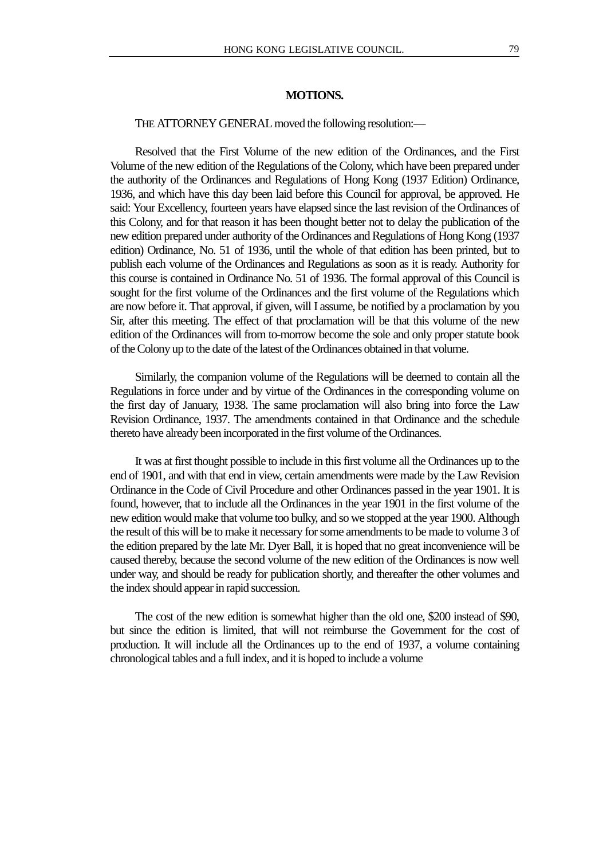## **MOTIONS.**

#### THE ATTORNEY GENERAL moved the following resolution:—

Resolved that the First Volume of the new edition of the Ordinances, and the First Volume of the new edition of the Regulations of the Colony, which have been prepared under the authority of the Ordinances and Regulations of Hong Kong (1937 Edition) Ordinance, 1936, and which have this day been laid before this Council for approval, be approved. He said: Your Excellency, fourteen years have elapsed since the last revision of the Ordinances of this Colony, and for that reason it has been thought better not to delay the publication of the new edition prepared under authority of the Ordinances and Regulations of Hong Kong (1937 edition) Ordinance, No. 51 of 1936, until the whole of that edition has been printed, but to publish each volume of the Ordinances and Regulations as soon as it is ready. Authority for this course is contained in Ordinance No. 51 of 1936. The formal approval of this Council is sought for the first volume of the Ordinances and the first volume of the Regulations which are now before it. That approval, if given, will I assume, be notified by a proclamation by you Sir, after this meeting. The effect of that proclamation will be that this volume of the new edition of the Ordinances will from to-morrow become the sole and only proper statute book of the Colony up to the date of the latest of the Ordinances obtained in that volume.

Similarly, the companion volume of the Regulations will be deemed to contain all the Regulations in force under and by virtue of the Ordinances in the corresponding volume on the first day of January, 1938. The same proclamation will also bring into force the Law Revision Ordinance, 1937. The amendments contained in that Ordinance and the schedule thereto have already been incorporated in the first volume of the Ordinances.

It was at first thought possible to include in this first volume all the Ordinances up to the end of 1901, and with that end in view, certain amendments were made by the Law Revision Ordinance in the Code of Civil Procedure and other Ordinances passed in the year 1901. It is found, however, that to include all the Ordinances in the year 1901 in the first volume of the new edition would make that volume too bulky, and so we stopped at the year 1900. Although the result of this will be to make it necessary for some amendments to be made to volume 3 of the edition prepared by the late Mr. Dyer Ball, it is hoped that no great inconvenience will be caused thereby, because the second volume of the new edition of the Ordinances is now well under way, and should be ready for publication shortly, and thereafter the other volumes and the index should appear in rapid succession.

The cost of the new edition is somewhat higher than the old one, \$200 instead of \$90, but since the edition is limited, that will not reimburse the Government for the cost of production. It will include all the Ordinances up to the end of 1937, a volume containing chronological tables and a full index, and it is hoped to include a volume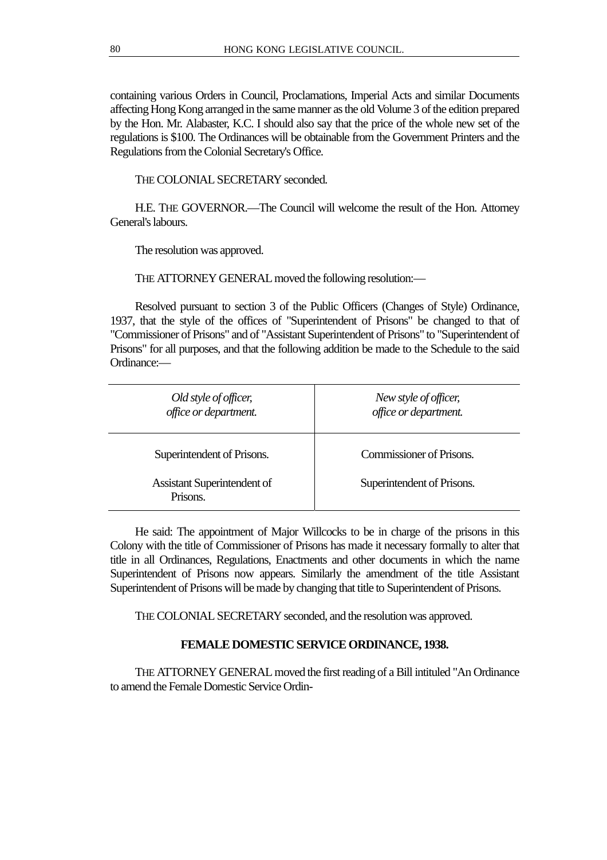containing various Orders in Council, Proclamations, Imperial Acts and similar Documents affecting Hong Kong arranged in the same manner as the old Volume 3 of the edition prepared by the Hon. Mr. Alabaster, K.C. I should also say that the price of the whole new set of the regulations is \$100. The Ordinances will be obtainable from the Government Printers and the Regulations from the Colonial Secretary's Office.

THE COLONIAL SECRETARY seconded.

H.E. THE GOVERNOR.—The Council will welcome the result of the Hon. Attorney General's labours.

The resolution was approved.

THE ATTORNEY GENERAL moved the following resolution:—

Resolved pursuant to section 3 of the Public Officers (Changes of Style) Ordinance, 1937, that the style of the offices of "Superintendent of Prisons" be changed to that of "Commissioner of Prisons" and of "Assistant Superintendent of Prisons" to "Superintendent of Prisons" for all purposes, and that the following addition be made to the Schedule to the said Ordinance:—

| Old style of officer,<br>office or department. | New style of officer,<br>office or department. |
|------------------------------------------------|------------------------------------------------|
| Superintendent of Prisons.                     | Commissioner of Prisons.                       |
| <b>Assistant Superintendent of</b><br>Prisons. | Superintendent of Prisons.                     |

He said: The appointment of Major Willcocks to be in charge of the prisons in this Colony with the title of Commissioner of Prisons has made it necessary formally to alter that title in all Ordinances, Regulations, Enactments and other documents in which the name Superintendent of Prisons now appears. Similarly the amendment of the title Assistant Superintendent of Prisons will be made by changing that title to Superintendent of Prisons.

THE COLONIAL SECRETARY seconded, and the resolution was approved.

# **FEMALE DOMESTIC SERVICE ORDINANCE, 1938.**

THE ATTORNEY GENERAL moved the first reading of a Bill intituled "An Ordinance to amend the Female Domestic Service Ordin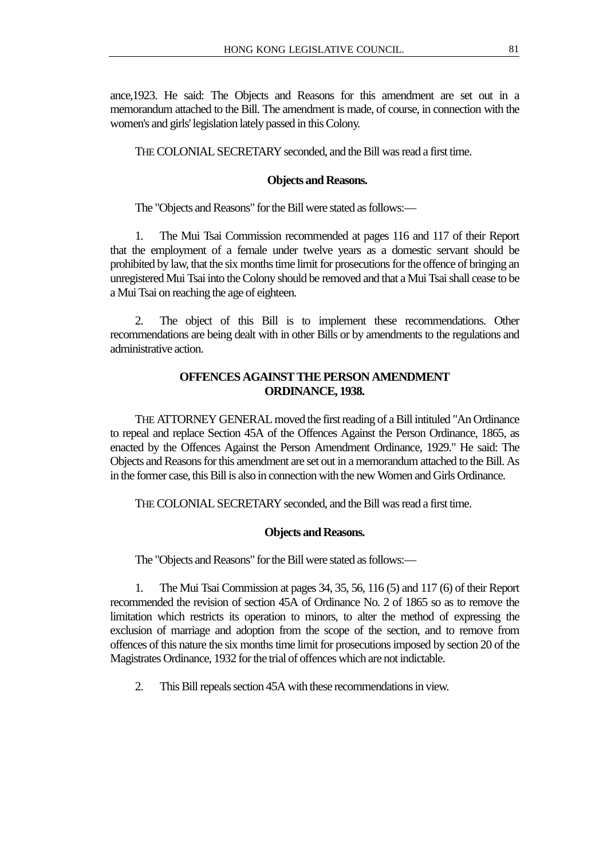ance,1923. He said: The Objects and Reasons for this amendment are set out in a memorandum attached to the Bill. The amendment is made, of course, in connection with the women's and girls' legislation lately passed in this Colony.

THE COLONIAL SECRETARY seconded, and the Bill was read a first time.

### **Objects and Reasons.**

The "Objects and Reasons" for the Bill were stated as follows:—

1. The Mui Tsai Commission recommended at pages 116 and 117 of their Report that the employment of a female under twelve years as a domestic servant should be prohibited by law, that the six months time limit for prosecutions for the offence of bringing an unregistered Mui Tsai into the Colony should be removed and that a Mui Tsai shall cease to be a Mui Tsai on reaching the age of eighteen.

2. The object of this Bill is to implement these recommendations. Other recommendations are being dealt with in other Bills or by amendments to the regulations and administrative action.

# **OFFENCES AGAINST THE PERSON AMENDMENT ORDINANCE, 1938.**

THE ATTORNEY GENERAL moved the first reading of a Bill intituled "An Ordinance to repeal and replace Section 45A of the Offences Against the Person Ordinance, 1865, as enacted by the Offences Against the Person Amendment Ordinance, 1929." He said: The Objects and Reasons for this amendment are set out in a memorandum attached to the Bill. As in the former case, this Bill is also in connection with the new Women and Girls Ordinance.

THE COLONIAL SECRETARY seconded, and the Bill was read a first time.

#### **Objects and Reasons.**

The "Objects and Reasons" for the Bill were stated as follows:—

1. The Mui Tsai Commission at pages 34, 35, 56, 116 (5) and 117 (6) of their Report recommended the revision of section 45A of Ordinance No. 2 of 1865 so as to remove the limitation which restricts its operation to minors, to alter the method of expressing the exclusion of marriage and adoption from the scope of the section, and to remove from offences of this nature the six months time limit for prosecutions imposed by section 20 of the Magistrates Ordinance, 1932 for the trial of offences which are not indictable.

2. This Bill repeals section 45A with these recommendations in view.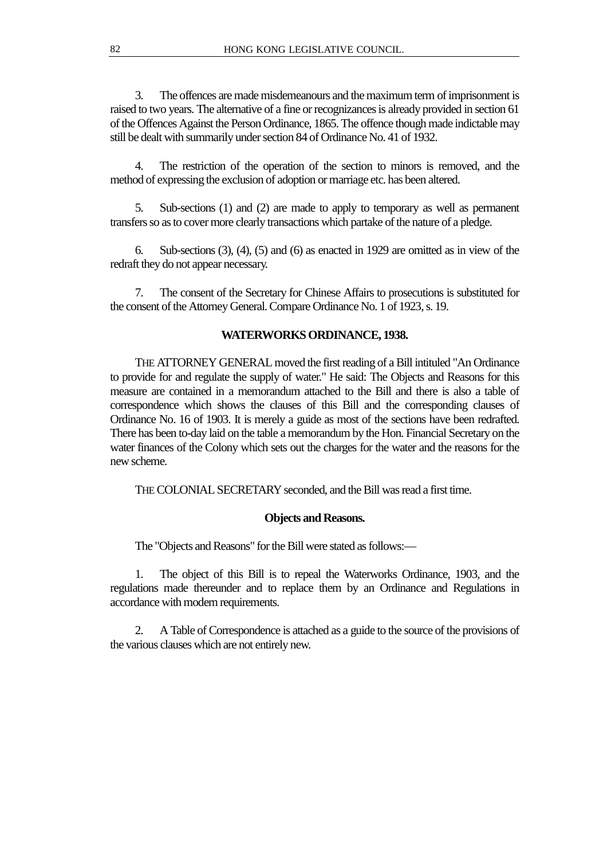3. The offences are made misdemeanours and the maximum term of imprisonment is raised to two years. The alternative of a fine or recognizances is already provided in section 61 of the Offences Against the Person Ordinance, 1865. The offence though made indictable may still be dealt with summarily under section 84 of Ordinance No. 41 of 1932.

4. The restriction of the operation of the section to minors is removed, and the method of expressing the exclusion of adoption or marriage etc. has been altered.

5. Sub-sections (1) and (2) are made to apply to temporary as well as permanent transfers so as to cover more clearly transactions which partake of the nature of a pledge.

6. Sub-sections (3), (4), (5) and (6) as enacted in 1929 are omitted as in view of the redraft they do not appear necessary.

7. The consent of the Secretary for Chinese Affairs to prosecutions is substituted for the consent of the Attorney General. Compare Ordinance No. 1 of 1923, s. 19.

# **WATERWORKS ORDINANCE, 1938.**

THE ATTORNEY GENERAL moved the first reading of a Bill intituled "An Ordinance to provide for and regulate the supply of water." He said: The Objects and Reasons for this measure are contained in a memorandum attached to the Bill and there is also a table of correspondence which shows the clauses of this Bill and the corresponding clauses of Ordinance No. 16 of 1903. It is merely a guide as most of the sections have been redrafted. There has been to-day laid on the table a memorandum by the Hon. Financial Secretary on the water finances of the Colony which sets out the charges for the water and the reasons for the new scheme.

THE COLONIAL SECRETARY seconded, and the Bill was read a first time.

#### **Objects and Reasons.**

The "Objects and Reasons" for the Bill were stated as follows:—

1. The object of this Bill is to repeal the Waterworks Ordinance, 1903, and the regulations made thereunder and to replace them by an Ordinance and Regulations in accordance with modern requirements.

2. A Table of Correspondence is attached as a guide to the source of the provisions of the various clauses which are not entirely new.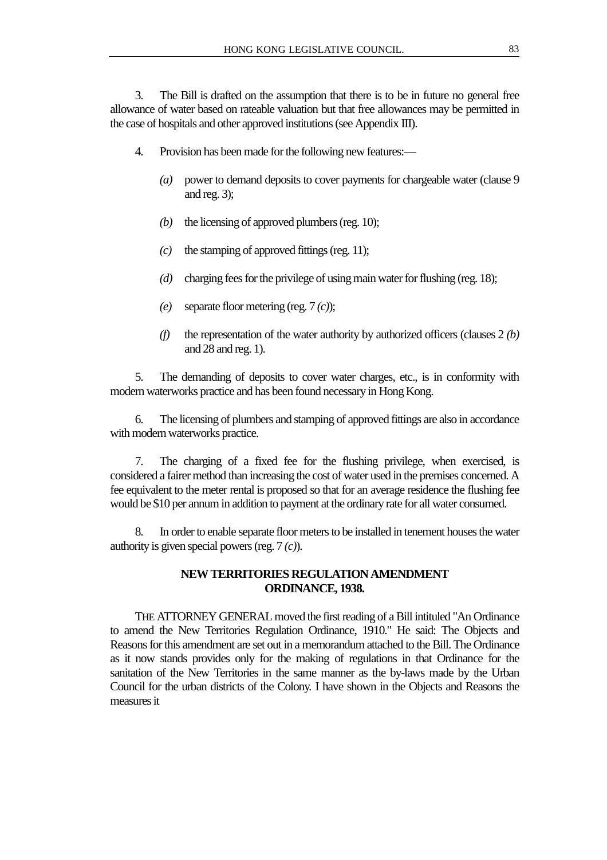3. The Bill is drafted on the assumption that there is to be in future no general free allowance of water based on rateable valuation but that free allowances may be permitted in the case of hospitals and other approved institutions (see Appendix III).

- 4. Provision has been made for the following new features:—
	- *(a)* power to demand deposits to cover payments for chargeable water (clause 9 and reg. 3);
	- *(b)* the licensing of approved plumbers (reg. 10);
	- *(c)* the stamping of approved fittings (reg. 11);
	- *(d)* charging fees for the privilege of using main water for flushing (reg. 18);
	- *(e)* separate floor metering (reg. 7 *(c)*);
	- *(f)* the representation of the water authority by authorized officers (clauses 2 *(b)* and 28 and reg. 1).

5. The demanding of deposits to cover water charges, etc., is in conformity with modern waterworks practice and has been found necessary in Hong Kong.

6. The licensing of plumbers and stamping of approved fittings are also in accordance with modern waterworks practice.

7. The charging of a fixed fee for the flushing privilege, when exercised, is considered a fairer method than increasing the cost of water used in the premises concerned. A fee equivalent to the meter rental is proposed so that for an average residence the flushing fee would be \$10 per annum in addition to payment at the ordinary rate for all water consumed.

8. In order to enable separate floor meters to be installed in tenement houses the water authority is given special powers (reg. 7 *(c)*).

# **NEW TERRITORIES REGULATION AMENDMENT ORDINANCE, 1938.**

THE ATTORNEY GENERAL moved the first reading of a Bill intituled "An Ordinance to amend the New Territories Regulation Ordinance, 1910." He said: The Objects and Reasons for this amendment are set out in a memorandum attached to the Bill. The Ordinance as it now stands provides only for the making of regulations in that Ordinance for the sanitation of the New Territories in the same manner as the by-laws made by the Urban Council for the urban districts of the Colony. I have shown in the Objects and Reasons the measures it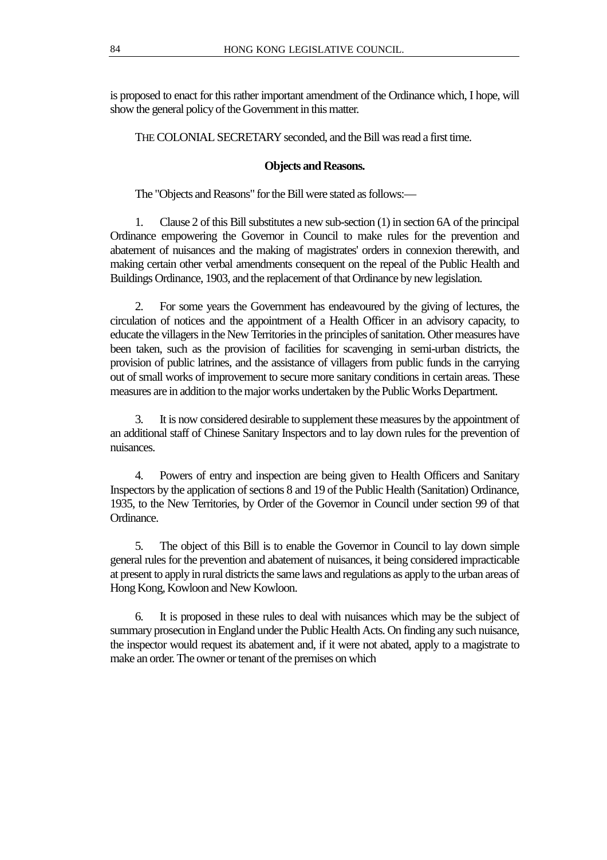is proposed to enact for this rather important amendment of the Ordinance which, I hope, will show the general policy of the Government in this matter.

THE COLONIAL SECRETARY seconded, and the Bill was read a first time.

# **Objects and Reasons.**

The "Objects and Reasons" for the Bill were stated as follows:—

1. Clause 2 of this Bill substitutes a new sub-section (1) in section 6A of the principal Ordinance empowering the Governor in Council to make rules for the prevention and abatement of nuisances and the making of magistrates' orders in connexion therewith, and making certain other verbal amendments consequent on the repeal of the Public Health and Buildings Ordinance, 1903, and the replacement of that Ordinance by new legislation.

2. For some years the Government has endeavoured by the giving of lectures, the circulation of notices and the appointment of a Health Officer in an advisory capacity, to educate the villagers in the New Territories in the principles of sanitation. Other measures have been taken, such as the provision of facilities for scavenging in semi-urban districts, the provision of public latrines, and the assistance of villagers from public funds in the carrying out of small works of improvement to secure more sanitary conditions in certain areas. These measures are in addition to the major works undertaken by the Public Works Department.

3. It is now considered desirable to supplement these measures by the appointment of an additional staff of Chinese Sanitary Inspectors and to lay down rules for the prevention of nuisances.

4. Powers of entry and inspection are being given to Health Officers and Sanitary Inspectors by the application of sections 8 and 19 of the Public Health (Sanitation) Ordinance, 1935, to the New Territories, by Order of the Governor in Council under section 99 of that Ordinance.

5. The object of this Bill is to enable the Governor in Council to lay down simple general rules for the prevention and abatement of nuisances, it being considered impracticable at present to apply in rural districts the same laws and regulations as apply to the urban areas of Hong Kong, Kowloon and New Kowloon.

6. It is proposed in these rules to deal with nuisances which may be the subject of summary prosecution in England under the Public Health Acts. On finding any such nuisance, the inspector would request its abatement and, if it were not abated, apply to a magistrate to make an order. The owner or tenant of the premises on which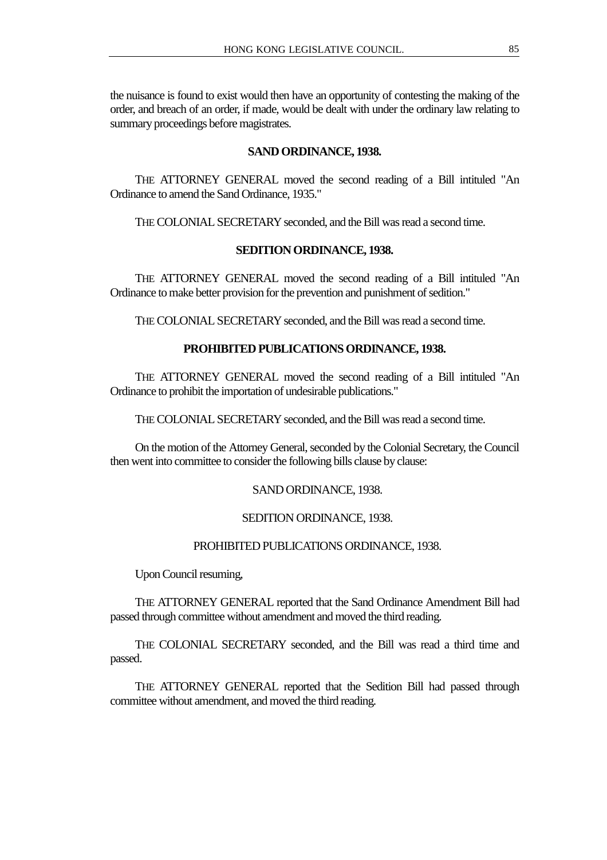the nuisance is found to exist would then have an opportunity of contesting the making of the order, and breach of an order, if made, would be dealt with under the ordinary law relating to summary proceedings before magistrates.

#### **SAND ORDINANCE, 1938.**

THE ATTORNEY GENERAL moved the second reading of a Bill intituled "An Ordinance to amend the Sand Ordinance, 1935."

THE COLONIAL SECRETARY seconded, and the Bill was read a second time.

# **SEDITION ORDINANCE, 1938.**

THE ATTORNEY GENERAL moved the second reading of a Bill intituled "An Ordinance to make better provision for the prevention and punishment of sedition."

THE COLONIAL SECRETARY seconded, and the Bill was read a second time.

#### **PROHIBITED PUBLICATIONS ORDINANCE, 1938.**

THE ATTORNEY GENERAL moved the second reading of a Bill intituled "An Ordinance to prohibit the importation of undesirable publications."

THE COLONIAL SECRETARY seconded, and the Bill was read a second time.

On the motion of the Attorney General, seconded by the Colonial Secretary, the Council then went into committee to consider the following bills clause by clause:

SAND ORDINANCE, 1938.

# SEDITION ORDINANCE, 1938.

# PROHIBITED PUBLICATIONS ORDINANCE, 1938.

Upon Council resuming,

THE ATTORNEY GENERAL reported that the Sand Ordinance Amendment Bill had passed through committee without amendment and moved the third reading.

THE COLONIAL SECRETARY seconded, and the Bill was read a third time and passed.

THE ATTORNEY GENERAL reported that the Sedition Bill had passed through committee without amendment, and moved the third reading.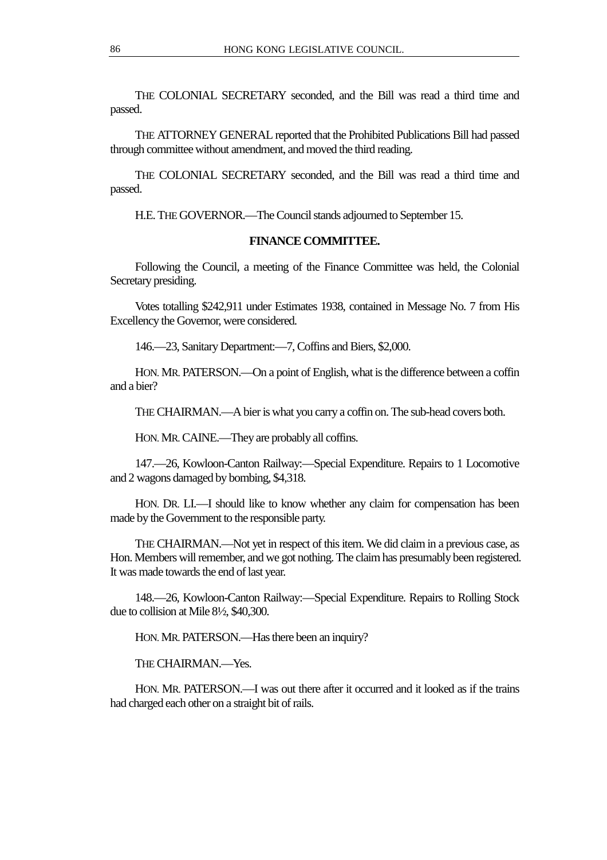THE COLONIAL SECRETARY seconded, and the Bill was read a third time and passed.

THE ATTORNEY GENERAL reported that the Prohibited Publications Bill had passed through committee without amendment, and moved the third reading.

THE COLONIAL SECRETARY seconded, and the Bill was read a third time and passed.

H.E. THE GOVERNOR.—The Council stands adjourned to September 15.

# **FINANCE COMMITTEE.**

Following the Council, a meeting of the Finance Committee was held, the Colonial Secretary presiding.

Votes totalling \$242,911 under Estimates 1938, contained in Message No. 7 from His Excellency the Governor, were considered.

146.—23, Sanitary Department:—7, Coffins and Biers, \$2,000.

HON. MR. PATERSON.—On a point of English, what is the difference between a coffin and a bier?

THE CHAIRMAN.—A bier is what you carry a coffin on. The sub-head covers both.

HON. MR. CAINE.—They are probably all coffins.

147.—26, Kowloon-Canton Railway:—Special Expenditure. Repairs to 1 Locomotive and 2 wagons damaged by bombing, \$4,318.

HON. DR. LI.—I should like to know whether any claim for compensation has been made by the Government to the responsible party.

THE CHAIRMAN.—Not yet in respect of this item. We did claim in a previous case, as Hon. Members will remember, and we got nothing. The claim has presumably been registered. It was made towards the end of last year.

148.—26, Kowloon-Canton Railway:—Special Expenditure. Repairs to Rolling Stock due to collision at Mile 8½, \$40,300.

HON. MR. PATERSON.—Has there been an inquiry?

THE CHAIRMAN.—Yes.

HON. MR. PATERSON.—I was out there after it occurred and it looked as if the trains had charged each other on a straight bit of rails.